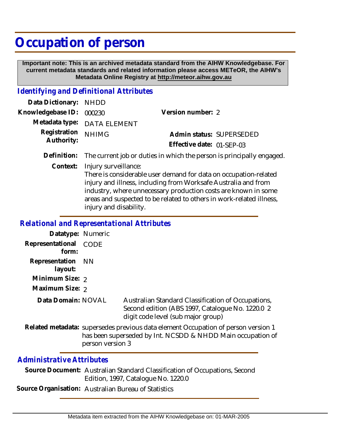# **Occupation of person**

 **Important note: This is an archived metadata standard from the AIHW Knowledgebase. For current metadata standards and related information please access METeOR, the AIHW's Metadata Online Registry at http://meteor.aihw.gov.au**

### *Identifying and Definitional Attributes*

| Data Dictionary: NHDD    |                             |                           |                          |
|--------------------------|-----------------------------|---------------------------|--------------------------|
| Knowledgebase ID: 000230 |                             | Version number: 2         |                          |
|                          | Metadata type: DATA ELEMENT |                           |                          |
| Registration NHIMG       |                             |                           | Admin status: SUPERSEDED |
| Authority:               |                             | Effective date: 01-SEP-03 |                          |
|                          |                             |                           |                          |

**Definition:** The current job or duties in which the person is principally engaged.

Injury surveillance: **Context:**

> There is considerable user demand for data on occupation-related injury and illness, including from Worksafe Australia and from industry, where unnecessary production costs are known in some areas and suspected to be related to others in work-related illness, injury and disability.

#### *Relational and Representational Attributes*

| Datatype: Numeric  |           |                                                                                                                                                  |
|--------------------|-----------|--------------------------------------------------------------------------------------------------------------------------------------------------|
|                    |           |                                                                                                                                                  |
| Representational   | CODE      |                                                                                                                                                  |
| form:              |           |                                                                                                                                                  |
| Representation     | <b>NN</b> |                                                                                                                                                  |
| layout:            |           |                                                                                                                                                  |
| Minimum Size: 2    |           |                                                                                                                                                  |
| Maximum Size: 2    |           |                                                                                                                                                  |
| Data Domain: NOVAL |           | Australian Standard Classification of Occupations,<br>Second edition (ABS 1997, Catalogue No. 1220.0 2<br>digit code level (sub major group)     |
|                    |           | Related metadata: supersedes previous data element Occupation of person version 1<br>has been superseded by Int. NCSDD & NHDD Main occupation of |

## *Administrative Attributes*

Source Document: Australian Standard Classification of Occupations, Second Edition, 1997, Catalogue No. 1220.0

**Source Organisation:** Australian Bureau of Statistics

person version 3